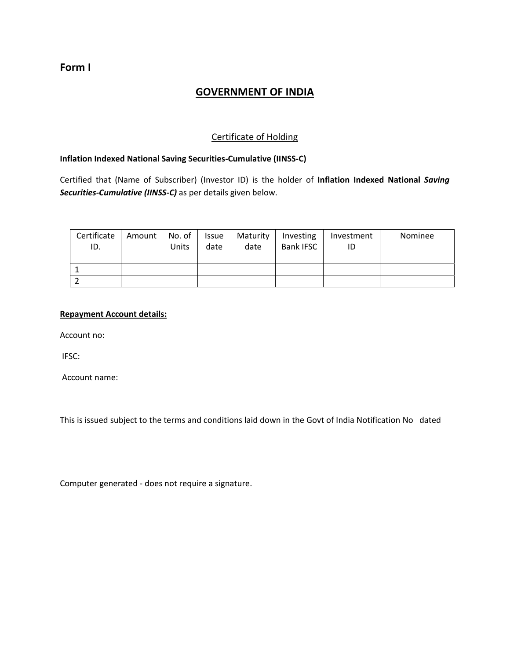## **Form I**

# **GOVERNMENT OF INDIA**

## Certificate of Holding

## **Inflation Indexed National Saving Securities‐Cumulative (IINSS‐C)**

Certified that (Name of Subscriber) (Investor ID) is the holder of **Inflation Indexed National** *Saving Securities‐Cumulative (IINSS‐C)* as per details given below.

| Certificate<br>ID. | Amount | No. of<br>Units | Issue<br>date | Maturity<br>date | Investing<br><b>Bank IFSC</b> | Investment<br>ID | Nominee |
|--------------------|--------|-----------------|---------------|------------------|-------------------------------|------------------|---------|
|                    |        |                 |               |                  |                               |                  |         |
|                    |        |                 |               |                  |                               |                  |         |

### **Repayment Account details:**

Account no:

IFSC:

Account name:

This is issued subject to the terms and conditions laid down in the Govt of India Notification No dated

Computer generated ‐ does not require a signature.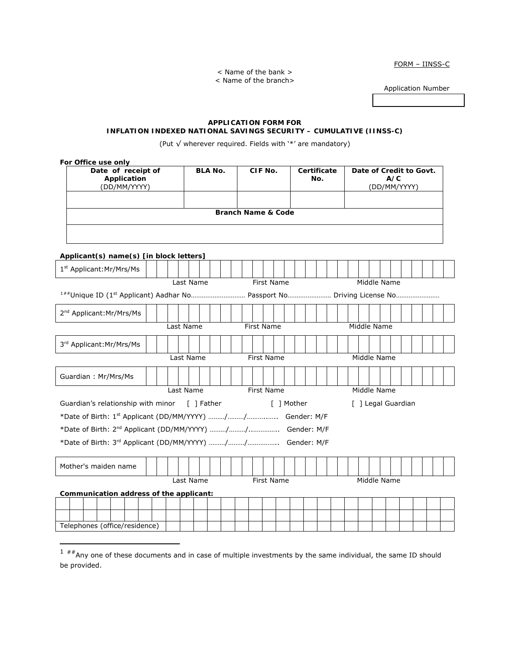FORM – IINSS-C

< Name of the bank > < Name of the branch>

Application Number

### **APPLICATION FORM FOR INFLATION INDEXED NATIONAL SAVINGS SECURITY – CUMULATIVE (IINSS-C)**

(Put √ wherever required. Fields with '\*' are mandatory)

| For Office use only                           |                                                   |  |           |                           |  |  |  |                   |            |  |     |             |  |                                                |  |                    |  |  |  |  |  |  |
|-----------------------------------------------|---------------------------------------------------|--|-----------|---------------------------|--|--|--|-------------------|------------|--|-----|-------------|--|------------------------------------------------|--|--------------------|--|--|--|--|--|--|
|                                               | Date of receipt of<br>Application<br>(DD/MM/YYYY) |  |           | <b>BLA No.</b><br>CIF No. |  |  |  |                   |            |  | No. | Certificate |  | Date of Credit to Govt.<br>A/C<br>(DD/MM/YYYY) |  |                    |  |  |  |  |  |  |
|                                               |                                                   |  |           |                           |  |  |  |                   |            |  |     |             |  |                                                |  |                    |  |  |  |  |  |  |
|                                               | <b>Branch Name &amp; Code</b>                     |  |           |                           |  |  |  |                   |            |  |     |             |  |                                                |  |                    |  |  |  |  |  |  |
|                                               |                                                   |  |           |                           |  |  |  |                   |            |  |     |             |  |                                                |  |                    |  |  |  |  |  |  |
|                                               |                                                   |  |           |                           |  |  |  |                   |            |  |     |             |  |                                                |  |                    |  |  |  |  |  |  |
| Applicant(s) name(s) [in block letters]       |                                                   |  |           |                           |  |  |  |                   |            |  |     |             |  |                                                |  |                    |  |  |  |  |  |  |
|                                               |                                                   |  |           |                           |  |  |  |                   |            |  |     |             |  |                                                |  |                    |  |  |  |  |  |  |
| 1 <sup>st</sup> Applicant: Mr/Mrs/Ms          |                                                   |  |           |                           |  |  |  |                   |            |  |     |             |  |                                                |  |                    |  |  |  |  |  |  |
| Last Name<br><b>First Name</b><br>Middle Name |                                                   |  |           |                           |  |  |  |                   |            |  |     |             |  |                                                |  |                    |  |  |  |  |  |  |
|                                               |                                                   |  |           |                           |  |  |  |                   |            |  |     |             |  |                                                |  |                    |  |  |  |  |  |  |
| 2 <sup>nd</sup> Applicant: Mr/Mrs/Ms          |                                                   |  |           |                           |  |  |  |                   |            |  |     |             |  |                                                |  |                    |  |  |  |  |  |  |
| Last Name                                     |                                                   |  |           |                           |  |  |  | <b>First Name</b> |            |  |     |             |  |                                                |  | Middle Name        |  |  |  |  |  |  |
|                                               |                                                   |  |           |                           |  |  |  |                   |            |  |     |             |  |                                                |  |                    |  |  |  |  |  |  |
| 3rd Applicant: Mr/Mrs/Ms                      |                                                   |  |           |                           |  |  |  |                   |            |  |     |             |  |                                                |  |                    |  |  |  |  |  |  |
|                                               | <b>First Name</b><br>Middle Name<br>Last Name     |  |           |                           |  |  |  |                   |            |  |     |             |  |                                                |  |                    |  |  |  |  |  |  |
| Guardian: Mr/Mrs/Ms                           |                                                   |  |           |                           |  |  |  |                   |            |  |     |             |  |                                                |  |                    |  |  |  |  |  |  |
|                                               |                                                   |  | Last Name |                           |  |  |  | First Name        |            |  |     |             |  |                                                |  | Middle Name        |  |  |  |  |  |  |
|                                               |                                                   |  |           |                           |  |  |  |                   |            |  |     |             |  |                                                |  |                    |  |  |  |  |  |  |
| Guardian's relationship with minor [ ] Father |                                                   |  |           |                           |  |  |  |                   | [ ] Mother |  |     |             |  |                                                |  | [ ] Legal Guardian |  |  |  |  |  |  |
|                                               |                                                   |  |           |                           |  |  |  |                   |            |  |     |             |  |                                                |  |                    |  |  |  |  |  |  |
|                                               |                                                   |  |           |                           |  |  |  |                   |            |  |     |             |  |                                                |  |                    |  |  |  |  |  |  |
|                                               |                                                   |  |           |                           |  |  |  |                   |            |  |     |             |  |                                                |  |                    |  |  |  |  |  |  |
|                                               |                                                   |  |           |                           |  |  |  |                   |            |  |     |             |  |                                                |  |                    |  |  |  |  |  |  |
| Mother's maiden name                          |                                                   |  |           |                           |  |  |  |                   |            |  |     |             |  |                                                |  |                    |  |  |  |  |  |  |
|                                               |                                                   |  | Last Name |                           |  |  |  | First Name        |            |  |     |             |  |                                                |  | Middle Name        |  |  |  |  |  |  |
| Communication address of the applicant:       |                                                   |  |           |                           |  |  |  |                   |            |  |     |             |  |                                                |  |                    |  |  |  |  |  |  |
|                                               |                                                   |  |           |                           |  |  |  |                   |            |  |     |             |  |                                                |  |                    |  |  |  |  |  |  |
| Telephones (office/residence)                 |                                                   |  |           |                           |  |  |  |                   |            |  |     |             |  |                                                |  |                    |  |  |  |  |  |  |
|                                               |                                                   |  |           |                           |  |  |  |                   |            |  |     |             |  |                                                |  |                    |  |  |  |  |  |  |

 $\overline{a}$ 

<span id="page-1-0"></span> $1$  ##Any one of these documents and in case of multiple investments by the same individual, the same ID should be provided.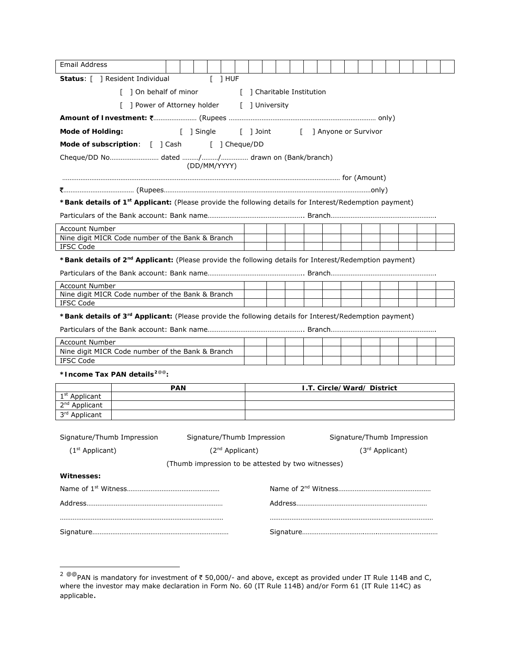| <b>Email Address</b>                                                                                               |                                                  |            |  |                                                    |                             |  |  |  |  |                            |  |  |  |                            |  |  |  |
|--------------------------------------------------------------------------------------------------------------------|--------------------------------------------------|------------|--|----------------------------------------------------|-----------------------------|--|--|--|--|----------------------------|--|--|--|----------------------------|--|--|--|
|                                                                                                                    | Status: [ ] Resident Individual                  |            |  |                                                    | $[$ ] HUF                   |  |  |  |  |                            |  |  |  |                            |  |  |  |
|                                                                                                                    | [ ] On behalf of minor                           |            |  |                                                    |                             |  |  |  |  | [ ] Charitable Institution |  |  |  |                            |  |  |  |
|                                                                                                                    | [ ] Power of Attorney holder [ ] University      |            |  |                                                    |                             |  |  |  |  |                            |  |  |  |                            |  |  |  |
|                                                                                                                    |                                                  |            |  |                                                    |                             |  |  |  |  |                            |  |  |  |                            |  |  |  |
| <b>Mode of Holding:</b>                                                                                            |                                                  |            |  | [ ] Single [ ] Joint [ ] Anyone or Survivor        |                             |  |  |  |  |                            |  |  |  |                            |  |  |  |
|                                                                                                                    | Mode of subscription: [ ] Cash [ ] Cheque/DD     |            |  |                                                    |                             |  |  |  |  |                            |  |  |  |                            |  |  |  |
|                                                                                                                    |                                                  |            |  |                                                    |                             |  |  |  |  |                            |  |  |  |                            |  |  |  |
|                                                                                                                    |                                                  |            |  | (DD/MM/YYYY)                                       |                             |  |  |  |  |                            |  |  |  |                            |  |  |  |
|                                                                                                                    |                                                  |            |  |                                                    |                             |  |  |  |  |                            |  |  |  |                            |  |  |  |
|                                                                                                                    |                                                  |            |  |                                                    |                             |  |  |  |  |                            |  |  |  |                            |  |  |  |
| *Bank details of 1 <sup>st</sup> Applicant: (Please provide the following details for Interest/Redemption payment) |                                                  |            |  |                                                    |                             |  |  |  |  |                            |  |  |  |                            |  |  |  |
|                                                                                                                    |                                                  |            |  |                                                    |                             |  |  |  |  |                            |  |  |  |                            |  |  |  |
| <b>Account Number</b>                                                                                              |                                                  |            |  |                                                    |                             |  |  |  |  |                            |  |  |  |                            |  |  |  |
| <b>IFSC Code</b>                                                                                                   | Nine digit MICR Code number of the Bank & Branch |            |  |                                                    |                             |  |  |  |  |                            |  |  |  |                            |  |  |  |
| *Bank details of 2 <sup>nd</sup> Applicant: (Please provide the following details for Interest/Redemption payment) |                                                  |            |  |                                                    |                             |  |  |  |  |                            |  |  |  |                            |  |  |  |
|                                                                                                                    |                                                  |            |  |                                                    |                             |  |  |  |  |                            |  |  |  |                            |  |  |  |
| <b>Account Number</b>                                                                                              |                                                  |            |  |                                                    |                             |  |  |  |  |                            |  |  |  |                            |  |  |  |
|                                                                                                                    | Nine digit MICR Code number of the Bank & Branch |            |  |                                                    |                             |  |  |  |  |                            |  |  |  |                            |  |  |  |
| <b>IFSC Code</b>                                                                                                   |                                                  |            |  |                                                    |                             |  |  |  |  |                            |  |  |  |                            |  |  |  |
| *Bank details of 3 <sup>rd</sup> Applicant: (Please provide the following details for Interest/Redemption payment) |                                                  |            |  |                                                    |                             |  |  |  |  |                            |  |  |  |                            |  |  |  |
|                                                                                                                    |                                                  |            |  |                                                    |                             |  |  |  |  |                            |  |  |  |                            |  |  |  |
| Account Number                                                                                                     |                                                  |            |  |                                                    |                             |  |  |  |  |                            |  |  |  |                            |  |  |  |
|                                                                                                                    | Nine digit MICR Code number of the Bank & Branch |            |  |                                                    |                             |  |  |  |  |                            |  |  |  |                            |  |  |  |
| <b>IFSC Code</b>                                                                                                   |                                                  |            |  |                                                    |                             |  |  |  |  |                            |  |  |  |                            |  |  |  |
|                                                                                                                    | *Income Tax PAN details <sup>2@@</sup> :         |            |  |                                                    |                             |  |  |  |  |                            |  |  |  |                            |  |  |  |
| 1 <sup>st</sup> Applicant                                                                                          |                                                  | <b>PAN</b> |  |                                                    |                             |  |  |  |  |                            |  |  |  | I.T. Circle/Ward/ District |  |  |  |
| 2 <sup>nd</sup> Applicant                                                                                          |                                                  |            |  |                                                    |                             |  |  |  |  |                            |  |  |  |                            |  |  |  |
| 3rd Applicant                                                                                                      |                                                  |            |  |                                                    |                             |  |  |  |  |                            |  |  |  |                            |  |  |  |
|                                                                                                                    |                                                  |            |  |                                                    |                             |  |  |  |  |                            |  |  |  |                            |  |  |  |
| Signature/Thumb Impression                                                                                         |                                                  |            |  | Signature/Thumb Impression                         |                             |  |  |  |  |                            |  |  |  | Signature/Thumb Impression |  |  |  |
| (1 <sup>st</sup> Applicant)                                                                                        |                                                  |            |  |                                                    | (2 <sup>nd</sup> Applicant) |  |  |  |  |                            |  |  |  | (3rd Applicant)            |  |  |  |
|                                                                                                                    |                                                  |            |  | (Thumb impression to be attested by two witnesses) |                             |  |  |  |  |                            |  |  |  |                            |  |  |  |
| Witnesses:                                                                                                         |                                                  |            |  |                                                    |                             |  |  |  |  |                            |  |  |  |                            |  |  |  |
|                                                                                                                    |                                                  |            |  |                                                    |                             |  |  |  |  |                            |  |  |  |                            |  |  |  |
|                                                                                                                    |                                                  |            |  |                                                    |                             |  |  |  |  |                            |  |  |  |                            |  |  |  |
|                                                                                                                    |                                                  |            |  |                                                    |                             |  |  |  |  |                            |  |  |  |                            |  |  |  |
|                                                                                                                    |                                                  |            |  |                                                    |                             |  |  |  |  |                            |  |  |  |                            |  |  |  |
|                                                                                                                    |                                                  |            |  |                                                    |                             |  |  |  |  |                            |  |  |  |                            |  |  |  |

 $\overline{a}$ 

<span id="page-2-0"></span> $^{2}$  @@PAN is mandatory for investment of ₹ 50,000/- and above, except as provided under IT Rule 114B and C, where the investor may make declaration in Form No. 60 (IT Rule 114B) and/or Form 61 (IT Rule 114C) as applicable.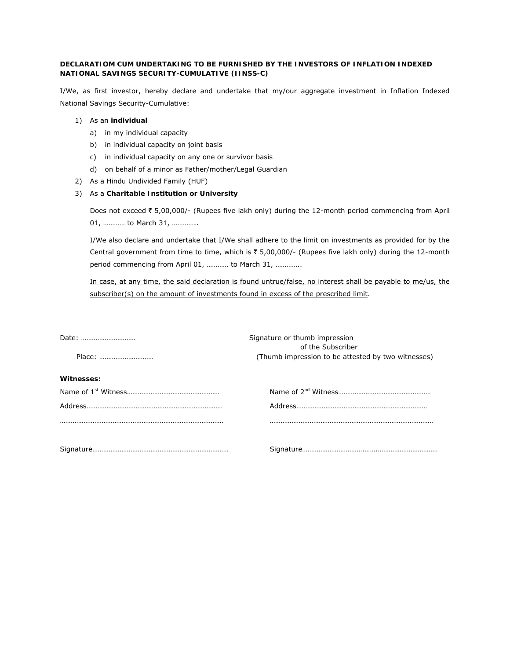### **DECLARATIOM CUM UNDERTAKING TO BE FURNISHED BY THE INVESTORS OF INFLATION INDEXED NATIONAL SAVINGS SECURITY-CUMULATIVE (IINSS-C)**

I/We, as first investor, hereby declare and undertake that my/our aggregate investment in Inflation Indexed National Savings Security-Cumulative:

- 1) As an **individual** 
	- a) in my individual capacity
	- b) in individual capacity on joint basis
	- c) in individual capacity on any one or survivor basis
	- d) on behalf of a minor as Father/mother/Legal Guardian
- 2) As a Hindu Undivided Family (HUF)
- 3) As a **Charitable Institution or University**

Does not exceed ₹ 5,00,000/- (Rupees five lakh only) during the 12-month period commencing from April 01, ………… to March 31, …………..

I/We also declare and undertake that I/We shall adhere to the limit on investments as provided for by the Central government from time to time, which is  $\overline{\epsilon}$  5,00,000/- (Rupees five lakh only) during the 12-month period commencing from April 01, ………… to March 31, …………..

In case, at any time, the said declaration is found untrue/false, no interest shall be payable to me/us, the subscriber(s) on the amount of investments found in excess of the prescribed limit.

|            | Signature or thumb impression<br>of the Subscriber |
|------------|----------------------------------------------------|
| Place:     | (Thumb impression to be attested by two witnesses) |
| Witnesses: |                                                    |
|            |                                                    |
|            |                                                    |
|            |                                                    |
|            |                                                    |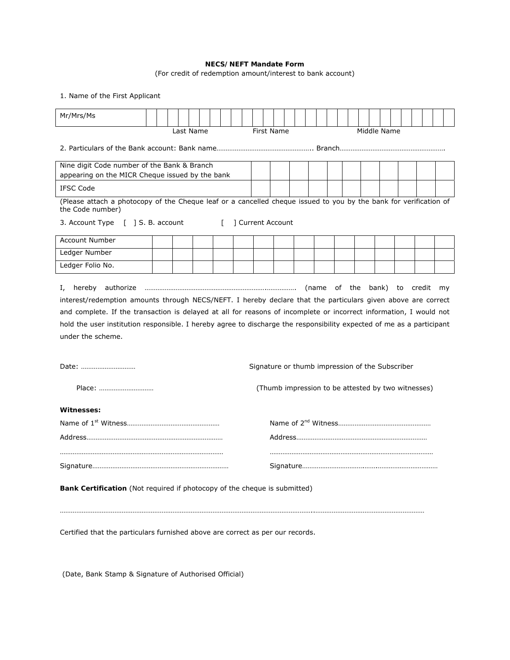### **NECS/NEFT Mandate Form**

(For credit of redemption amount/interest to bank account)

1. Name of the First Applicant

| Mr/Mrs/Ms                                                                                                                                                                                                                                                                                                                                                                                                                                          |  |  |           |  |  |  |  |            |  |  |  |                                                    |             |  |  |  |  |
|----------------------------------------------------------------------------------------------------------------------------------------------------------------------------------------------------------------------------------------------------------------------------------------------------------------------------------------------------------------------------------------------------------------------------------------------------|--|--|-----------|--|--|--|--|------------|--|--|--|----------------------------------------------------|-------------|--|--|--|--|
|                                                                                                                                                                                                                                                                                                                                                                                                                                                    |  |  | Last Name |  |  |  |  | First Name |  |  |  |                                                    | Middle Name |  |  |  |  |
|                                                                                                                                                                                                                                                                                                                                                                                                                                                    |  |  |           |  |  |  |  |            |  |  |  |                                                    |             |  |  |  |  |
| Nine digit Code number of the Bank & Branch                                                                                                                                                                                                                                                                                                                                                                                                        |  |  |           |  |  |  |  |            |  |  |  |                                                    |             |  |  |  |  |
| appearing on the MICR Cheque issued by the bank                                                                                                                                                                                                                                                                                                                                                                                                    |  |  |           |  |  |  |  |            |  |  |  |                                                    |             |  |  |  |  |
| <b>IFSC Code</b>                                                                                                                                                                                                                                                                                                                                                                                                                                   |  |  |           |  |  |  |  |            |  |  |  |                                                    |             |  |  |  |  |
| (Please attach a photocopy of the Cheque leaf or a cancelled cheque issued to you by the bank for verification of<br>the Code number)                                                                                                                                                                                                                                                                                                              |  |  |           |  |  |  |  |            |  |  |  |                                                    |             |  |  |  |  |
| ] Current Account<br>3. Account Type [ ] S. B. account<br>$\Gamma$                                                                                                                                                                                                                                                                                                                                                                                 |  |  |           |  |  |  |  |            |  |  |  |                                                    |             |  |  |  |  |
| <b>Account Number</b>                                                                                                                                                                                                                                                                                                                                                                                                                              |  |  |           |  |  |  |  |            |  |  |  |                                                    |             |  |  |  |  |
| Ledger Number                                                                                                                                                                                                                                                                                                                                                                                                                                      |  |  |           |  |  |  |  |            |  |  |  |                                                    |             |  |  |  |  |
| Ledger Folio No.                                                                                                                                                                                                                                                                                                                                                                                                                                   |  |  |           |  |  |  |  |            |  |  |  |                                                    |             |  |  |  |  |
| I.<br>interest/redemption amounts through NECS/NEFT. I hereby declare that the particulars given above are correct<br>and complete. If the transaction is delayed at all for reasons of incomplete or incorrect information, I would not<br>hold the user institution responsible. I hereby agree to discharge the responsibility expected of me as a participant<br>under the scheme.<br>Date:<br>Signature or thumb impression of the Subscriber |  |  |           |  |  |  |  |            |  |  |  |                                                    |             |  |  |  |  |
| Place:                                                                                                                                                                                                                                                                                                                                                                                                                                             |  |  |           |  |  |  |  |            |  |  |  | (Thumb impression to be attested by two witnesses) |             |  |  |  |  |
| Witnesses:                                                                                                                                                                                                                                                                                                                                                                                                                                         |  |  |           |  |  |  |  |            |  |  |  |                                                    |             |  |  |  |  |
|                                                                                                                                                                                                                                                                                                                                                                                                                                                    |  |  |           |  |  |  |  |            |  |  |  |                                                    |             |  |  |  |  |
|                                                                                                                                                                                                                                                                                                                                                                                                                                                    |  |  |           |  |  |  |  |            |  |  |  |                                                    |             |  |  |  |  |
|                                                                                                                                                                                                                                                                                                                                                                                                                                                    |  |  |           |  |  |  |  |            |  |  |  |                                                    |             |  |  |  |  |
| Bank Certification (Not required if photocopy of the cheque is submitted)                                                                                                                                                                                                                                                                                                                                                                          |  |  |           |  |  |  |  |            |  |  |  |                                                    |             |  |  |  |  |
| Certified that the particulars furnished above are correct as per our records.                                                                                                                                                                                                                                                                                                                                                                     |  |  |           |  |  |  |  |            |  |  |  |                                                    |             |  |  |  |  |

(Date, Bank Stamp & Signature of Authorised Official)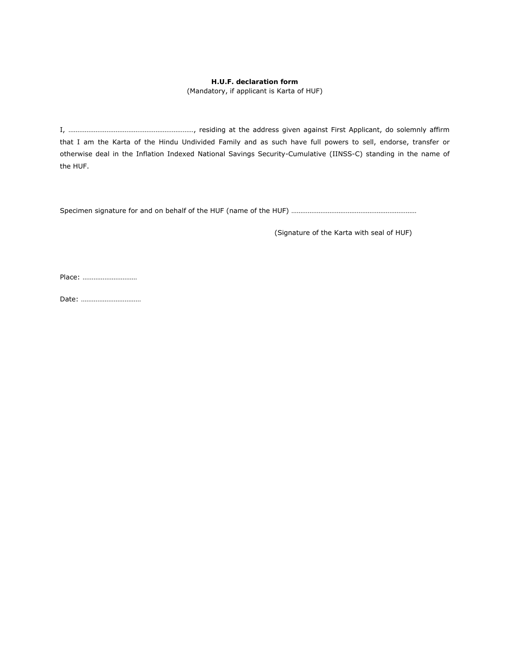### **H.U.F. declaration form**

(Mandatory, if applicant is Karta of HUF)

I, ……………………………………………………………, residing at the address given against First Applicant, do solemnly affirm that I am the Karta of the Hindu Undivided Family and as such have full powers to sell, endorse, transfer or otherwise deal in the Inflation Indexed National Savings Security-Cumulative (IINSS-C) standing in the name of the HUF.

Specimen signature for and on behalf of the HUF (name of the HUF) ………………………………………………………………………………………

(Signature of the Karta with seal of HUF)

Place: …………………………

Date: ……………………………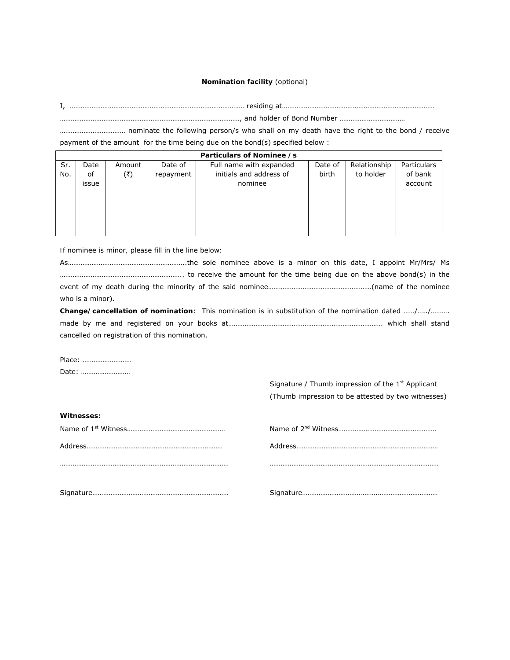#### **Nomination facility** (optional)

I, …………………………………………………………………………………… residing at…………………………………………………………………………

………………………………………………………………………………………, and holder of Bond Number ………………………………

……………………………… nominate the following person/s who shall on my death have the right to the bond / receive payment of the amount for the time being due on the bond(s) specified below :

|     | Particulars of Nominee /s |        |           |                         |         |              |             |  |  |  |  |  |
|-----|---------------------------|--------|-----------|-------------------------|---------|--------------|-------------|--|--|--|--|--|
| Sr. | Date                      | Amount | Date of   | Full name with expanded | Date of | Relationship | Particulars |  |  |  |  |  |
| No. | of                        | (₹)    | repayment | initials and address of | birth   | to holder    | of bank     |  |  |  |  |  |
|     | issue                     |        |           | nominee                 |         |              | account     |  |  |  |  |  |
|     |                           |        |           |                         |         |              |             |  |  |  |  |  |
|     |                           |        |           |                         |         |              |             |  |  |  |  |  |
|     |                           |        |           |                         |         |              |             |  |  |  |  |  |
|     |                           |        |           |                         |         |              |             |  |  |  |  |  |
|     |                           |        |           |                         |         |              |             |  |  |  |  |  |

*If nominee is minor, please fill in the line below:* 

As………………………………………………………..the sole nominee above is a minor on this date, I appoint Mr/Mrs/ Ms ………………………………………………………….. to receive the amount for the time being due on the above bond(s) in the event of my death during the minority of the said nominee…………………………………………………(name of the nominee who is a minor).

**Change/cancellation of nomination**: This nomination is in substitution of the nomination dated ……/…../………. made by me and registered on your books at…………………………………………………………………………. which shall stand cancelled on registration of this nomination.

Place: ……………………… Date: ………………………

> Signature / Thumb impression of the  $1<sup>st</sup>$  Applicant (Thumb impression to be attested by two witnesses)

| <b>Witnesses:</b> |  |
|-------------------|--|
|                   |  |
|                   |  |
|                   |  |
|                   |  |
|                   |  |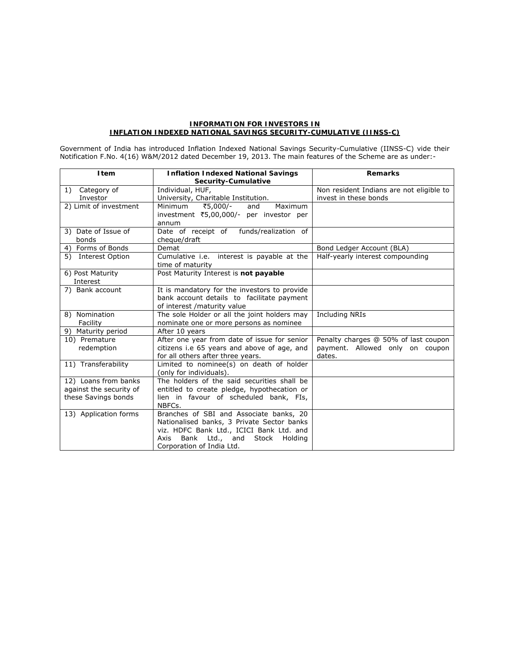#### **INFORMATION FOR INVESTORS IN INFLATION INDEXED NATIONAL SAVINGS SECURITY-CUMULATIVE (IINSS-C)**

Government of India has introduced Inflation Indexed National Savings Security-Cumulative (IINSS-C) vide their Notification F.No. 4(16) W&M/2012 dated December 19, 2013. The main features of the Scheme are as under:-

| <b>I</b> tem            | <b>Inflation Indexed National Savings</b>    | <b>Remarks</b>                           |
|-------------------------|----------------------------------------------|------------------------------------------|
|                         | Security-Cumulative                          |                                          |
| Category of<br>1)       | Individual, HUF,                             | Non resident Indians are not eligible to |
| Investor                | University, Charitable Institution.          | invest in these bonds                    |
| 2) Limit of investment  | ₹5,000/-<br>Minimum<br>and<br>Maximum        |                                          |
|                         | investment ₹5,00,000/- per investor per      |                                          |
|                         | annum                                        |                                          |
| 3) Date of Issue of     | Date of receipt of funds/realization of      |                                          |
| bonds                   | cheque/draft                                 |                                          |
| 4) Forms of Bonds       | Demat                                        | Bond Ledger Account (BLA)                |
| 5) Interest Option      | Cumulative i.e. interest is payable at the   | Half-yearly interest compounding         |
|                         | time of maturity                             |                                          |
| 6) Post Maturity        | Post Maturity Interest is not payable        |                                          |
| Interest                |                                              |                                          |
| 7) Bank account         | It is mandatory for the investors to provide |                                          |
|                         | bank account details to facilitate payment   |                                          |
|                         | of interest /maturity value                  |                                          |
| 8) Nomination           | The sole Holder or all the joint holders may | <b>Including NRIs</b>                    |
| Facility                | nominate one or more persons as nominee      |                                          |
| 9) Maturity period      | After 10 years                               |                                          |
| 10) Premature           | After one year from date of issue for senior | Penalty charges @ 50% of last coupon     |
| redemption              | citizens i.e 65 years and above of age, and  | payment. Allowed only on coupon          |
|                         | for all others after three years.            | dates.                                   |
| 11) Transferability     | Limited to nominee(s) on death of holder     |                                          |
|                         | (only for individuals).                      |                                          |
| 12) Loans from banks    | The holders of the said securities shall be  |                                          |
| against the security of | entitled to create pledge, hypothecation or  |                                          |
| these Savings bonds     | lien in favour of scheduled bank, FIs,       |                                          |
|                         | NBFCs.                                       |                                          |
| 13) Application forms   | Branches of SBI and Associate banks, 20      |                                          |
|                         | Nationalised banks, 3 Private Sector banks   |                                          |
|                         | viz. HDFC Bank Ltd., ICICI Bank Ltd. and     |                                          |
|                         | Bank Ltd., and<br>Stock<br>Axis<br>Holding   |                                          |
|                         | Corporation of India Ltd.                    |                                          |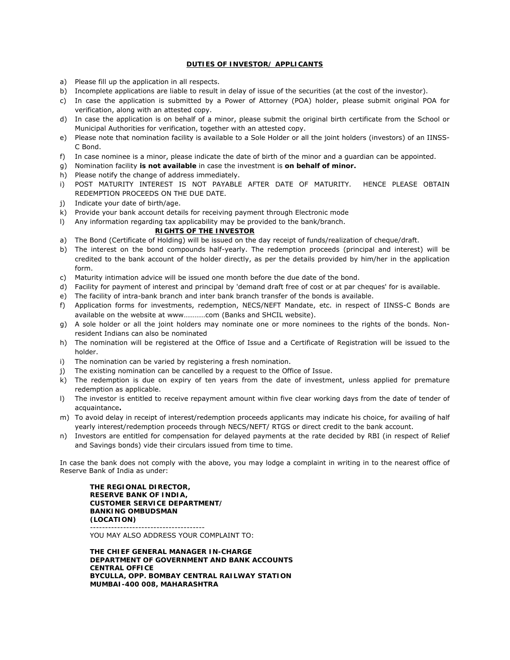#### **DUTIES OF INVESTOR/ APPLICANTS**

- a) Please fill up the application in all respects.
- b) Incomplete applications are liable to result in delay of issue of the securities (at the cost of the investor).
- c) In case the application is submitted by a Power of Attorney (POA) holder, please submit original POA for verification, along with an attested copy.
- d) In case the application is on behalf of a minor, please submit the original birth certificate from the School or Municipal Authorities for verification, together with an attested copy.
- e) Please note that nomination facility is available to a Sole Holder or all the joint holders (investors) of an IINSS-C Bond.
- f) In case nominee is a minor, please indicate the date of birth of the minor and a guardian can be appointed.
- g) Nomination facility **is not available** in case the investment is **on behalf of minor.**
- h) Please notify the change of address immediately.
- i) POST MATURITY INTEREST IS NOT PAYABLE AFTER DATE OF MATURITY. HENCE PLEASE OBTAIN REDEMPTION PROCEEDS ON THE DUE DATE.
- j) Indicate your date of birth/age.
- k) Provide your bank account details for receiving payment through Electronic mode
- l) Any information regarding tax applicability may be provided to the bank/branch.

#### **RIGHTS OF THE INVESTOR**

- a) The Bond (Certificate of Holding) will be issued on the day receipt of funds/realization of cheque/draft.
- b) The interest on the bond compounds half-yearly. The redemption proceeds (principal and interest) will be credited to the bank account of the holder directly, as per the details provided by him/her in the application form.
- c) Maturity intimation advice will be issued one month before the due date of the bond.
- d) Facility for payment of interest and principal by 'demand draft free of cost or at par cheques' for is available.
- e) The facility of intra-bank branch and inter bank branch transfer of the bonds is available.
- f) Application forms for investments, redemption, NECS/NEFT Mandate, etc. in respect of IINSS-C Bonds are available on the website at www…………com (Banks and SHCIL website).
- g) A sole holder or all the joint holders may nominate one or more nominees to the rights of the bonds. Nonresident Indians can also be nominated
- h) The nomination will be registered at the Office of Issue and a Certificate of Registration will be issued to the holder.
- i) The nomination can be varied by registering a fresh nomination.
- j) The existing nomination can be cancelled by a request to the Office of Issue.
- k) The redemption is due on expiry of ten years from the date of investment, unless applied for premature redemption as applicable.
- l) The investor is entitled to receive repayment amount within five clear working days from the date of tender of acquaintance**.**
- m) To avoid delay in receipt of interest/redemption proceeds applicants may indicate his choice, for availing of half yearly interest/redemption proceeds through NECS/NEFT/ RTGS or direct credit to the bank account.
- n) Investors are entitled for compensation for delayed payments at the rate decided by RBI (in respect of Relief and Savings bonds) vide their circulars issued from time to time.

In case the bank does not comply with the above, you may lodge a complaint in writing in to the nearest office of Reserve Bank of India as under:

**THE REGIONAL DIRECTOR, RESERVE BANK OF INDIA, CUSTOMER SERVICE DEPARTMENT/ BANKING OMBUDSMAN (LOCATION)**  --------------------------------------

YOU MAY ALSO ADDRESS YOUR COMPLAINT TO:

**THE CHIEF GENERAL MANAGER IN-CHARGE DEPARTMENT OF GOVERNMENT AND BANK ACCOUNTS CENTRAL OFFICE BYCULLA, OPP. BOMBAY CENTRAL RAILWAY STATION MUMBAI-400 008, MAHARASHTRA**